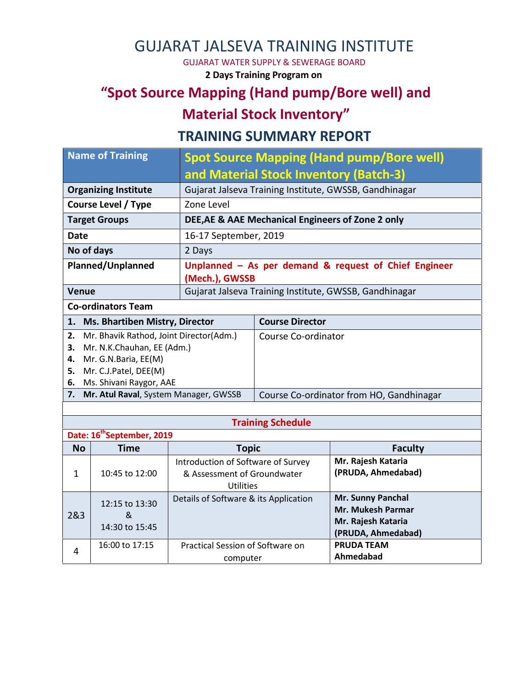## GUJARAT JALSEVA TRAINING INSTITUTE

GUJARAT WATER SUPPLY & SEWERAGE BOARD

**2 Days Training Program on**

## **"Spot Source Mapping (Hand pump/Bore well) and**

# **Material Stock Inventory"**

### **TRAINING SUMMARY REPORT**

| <b>Name of Training</b>                                                                                                                                                         |                                        |                                                                                | <b>Spot Source Mapping (Hand pump/Bore well)</b>       |                                                                                    |  |  |  |
|---------------------------------------------------------------------------------------------------------------------------------------------------------------------------------|----------------------------------------|--------------------------------------------------------------------------------|--------------------------------------------------------|------------------------------------------------------------------------------------|--|--|--|
|                                                                                                                                                                                 |                                        |                                                                                | and Material Stock Inventory (Batch-3)                 |                                                                                    |  |  |  |
| <b>Organizing Institute</b>                                                                                                                                                     |                                        |                                                                                | Gujarat Jalseva Training Institute, GWSSB, Gandhinagar |                                                                                    |  |  |  |
| <b>Course Level / Type</b>                                                                                                                                                      |                                        | Zone Level                                                                     |                                                        |                                                                                    |  |  |  |
|                                                                                                                                                                                 | <b>Target Groups</b>                   |                                                                                | DEE, AE & AAE Mechanical Engineers of Zone 2 only      |                                                                                    |  |  |  |
| <b>Date</b>                                                                                                                                                                     |                                        | 16-17 September, 2019                                                          |                                                        |                                                                                    |  |  |  |
| No of days                                                                                                                                                                      |                                        | 2 Days                                                                         |                                                        |                                                                                    |  |  |  |
| Planned/Unplanned                                                                                                                                                               |                                        | Unplanned $-$ As per demand & request of Chief Engineer<br>(Mech.), GWSSB      |                                                        |                                                                                    |  |  |  |
| <b>Venue</b>                                                                                                                                                                    |                                        |                                                                                | Gujarat Jalseva Training Institute, GWSSB, Gandhinagar |                                                                                    |  |  |  |
|                                                                                                                                                                                 | <b>Co-ordinators Team</b>              |                                                                                |                                                        |                                                                                    |  |  |  |
|                                                                                                                                                                                 | 1. Ms. Bhartiben Mistry, Director      |                                                                                | <b>Course Director</b>                                 |                                                                                    |  |  |  |
| Mr. Bhavik Rathod, Joint Director(Adm.)<br>2.<br>Mr. N.K.Chauhan, EE (Adm.)<br>3.<br>Mr. G.N.Baria, EE(M)<br>4.<br>Mr. C.J.Patel, DEE(M)<br>5.<br>Ms. Shivani Raygor, AAE<br>6. |                                        |                                                                                | Course Co-ordinator                                    |                                                                                    |  |  |  |
| Mr. Atul Raval, System Manager, GWSSB<br>7.                                                                                                                                     |                                        |                                                                                |                                                        | Course Co-ordinator from HO, Gandhinagar                                           |  |  |  |
|                                                                                                                                                                                 |                                        |                                                                                |                                                        |                                                                                    |  |  |  |
|                                                                                                                                                                                 |                                        |                                                                                | <b>Training Schedule</b>                               |                                                                                    |  |  |  |
|                                                                                                                                                                                 | Date: 16 <sup>th</sup> September, 2019 |                                                                                |                                                        |                                                                                    |  |  |  |
| <b>No</b>                                                                                                                                                                       | <b>Time</b>                            | <b>Topic</b>                                                                   |                                                        | <b>Faculty</b><br>Mr. Rajesh Kataria                                               |  |  |  |
| $\mathbf{1}$                                                                                                                                                                    | 10:45 to 12:00                         | Introduction of Software of Survey<br>& Assessment of Groundwater<br>Utilities |                                                        | (PRUDA, Ahmedabad)                                                                 |  |  |  |
| 2&3                                                                                                                                                                             | 12:15 to 13:30<br>&<br>14:30 to 15:45  | Details of Software & its Application                                          |                                                        | Mr. Sunny Panchal<br>Mr. Mukesh Parmar<br>Mr. Rajesh Kataria<br>(PRUDA, Ahmedabad) |  |  |  |
| 4                                                                                                                                                                               | 16:00 to 17:15                         | Practical Session of Software on<br>computer                                   |                                                        | <b>PRUDA TEAM</b><br>Ahmedabad                                                     |  |  |  |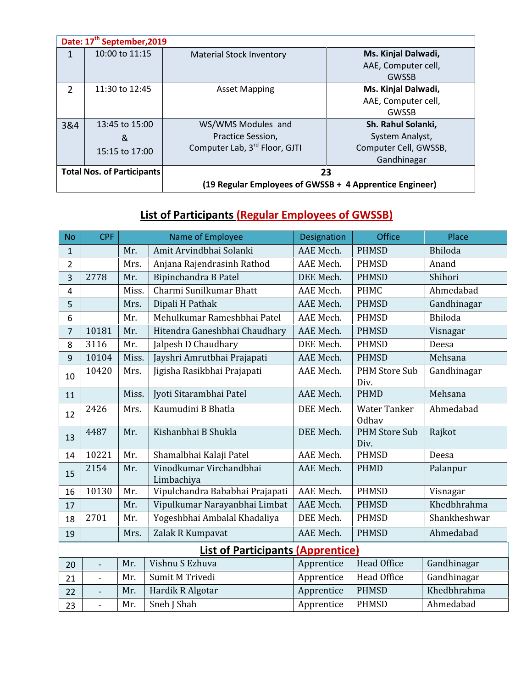| Date: 17 <sup>th</sup> September, 2019 |                  |                                                         |                       |  |  |  |  |
|----------------------------------------|------------------|---------------------------------------------------------|-----------------------|--|--|--|--|
| 1                                      | 10:00 to $11:15$ | <b>Material Stock Inventory</b>                         | Ms. Kinjal Dalwadi,   |  |  |  |  |
|                                        |                  |                                                         | AAE, Computer cell,   |  |  |  |  |
|                                        |                  |                                                         | <b>GWSSB</b>          |  |  |  |  |
| $\overline{2}$                         | 11:30 to 12:45   | <b>Asset Mapping</b>                                    | Ms. Kinjal Dalwadi,   |  |  |  |  |
|                                        |                  |                                                         | AAE, Computer cell,   |  |  |  |  |
|                                        |                  |                                                         | <b>GWSSB</b>          |  |  |  |  |
| 3&4                                    | 13:45 to 15:00   | WS/WMS Modules and                                      | Sh. Rahul Solanki,    |  |  |  |  |
|                                        | &                | Practice Session,                                       | System Analyst,       |  |  |  |  |
|                                        | 15:15 to 17:00   | Computer Lab, 3rd Floor, GJTI                           | Computer Cell, GWSSB, |  |  |  |  |
|                                        |                  |                                                         | Gandhinagar           |  |  |  |  |
| <b>Total Nos. of Participants</b>      |                  | 23                                                      |                       |  |  |  |  |
|                                        |                  | (19 Regular Employees of GWSSB + 4 Apprentice Engineer) |                       |  |  |  |  |

### **List of Participants (Regular Employees of GWSSB)**

| <b>No</b>                                | <b>CPF</b>               | Name of Employee |                                       | Designation | <b>Office</b>                       | Place        |  |  |  |
|------------------------------------------|--------------------------|------------------|---------------------------------------|-------------|-------------------------------------|--------------|--|--|--|
| $\mathbf 1$                              |                          | Mr.              | Amit Arvindbhai Solanki               | AAE Mech.   | <b>PHMSD</b>                        | Bhiloda      |  |  |  |
| $\overline{2}$                           |                          | Mrs.             | Anjana Rajendrasinh Rathod            | AAE Mech.   | <b>PHMSD</b>                        | Anand        |  |  |  |
| 3                                        | 2778                     | Mr.              | Bipinchandra B Patel                  | DEE Mech.   | <b>PHMSD</b>                        | Shihori      |  |  |  |
| $\overline{4}$                           |                          | Miss.            | Charmi Sunilkumar Bhatt               | AAE Mech.   | <b>PHMC</b>                         | Ahmedabad    |  |  |  |
| 5                                        |                          | Mrs.             | Dipali H Pathak                       | AAE Mech.   | <b>PHMSD</b>                        | Gandhinagar  |  |  |  |
| 6                                        |                          | Mr.              | Mehulkumar Rameshbhai Patel           | AAE Mech.   | <b>PHMSD</b>                        | Bhiloda      |  |  |  |
| 7                                        | 10181                    | Mr.              | Hitendra Ganeshbhai Chaudhary         | AAE Mech.   | <b>PHMSD</b>                        | Visnagar     |  |  |  |
| 8                                        | 3116                     | Mr.              | Jalpesh D Chaudhary                   | DEE Mech.   | <b>PHMSD</b>                        | Deesa        |  |  |  |
| 9                                        | 10104                    | Miss.            | Jayshri Amrutbhai Prajapati           | AAE Mech.   | <b>PHMSD</b>                        | Mehsana      |  |  |  |
| 10                                       | 10420                    | Mrs.             | Jigisha Rasikbhai Prajapati           | AAE Mech.   | <b>PHM Store Sub</b><br>Div.        | Gandhinagar  |  |  |  |
| 11                                       |                          | Miss.            | Jyoti Sitarambhai Patel               | AAE Mech.   | <b>PHMD</b>                         | Mehsana      |  |  |  |
| 12                                       | 2426                     | Mrs.             | Kaumudini B Bhatla                    | DEE Mech.   | <b>Water Tanker</b><br><b>Odhav</b> | Ahmedabad    |  |  |  |
| 13                                       | 4487                     | Mr.              | Kishanbhai B Shukla                   | DEE Mech.   | <b>PHM Store Sub</b><br>Div.        | Rajkot       |  |  |  |
| 14                                       | 10221                    | Mr.              | Shamalbhai Kalaji Patel               | AAE Mech.   | <b>PHMSD</b>                        | Deesa        |  |  |  |
| 15                                       | 2154                     | Mr.              | Vinodkumar Virchandbhai<br>Limbachiya | AAE Mech.   | <b>PHMD</b>                         | Palanpur     |  |  |  |
| 16                                       | 10130                    | Mr.              | Vipulchandra Bababhai Prajapati       | AAE Mech.   | <b>PHMSD</b>                        | Visnagar     |  |  |  |
| 17                                       |                          | Mr.              | Vipulkumar Narayanbhai Limbat         | AAE Mech.   | <b>PHMSD</b>                        | Khedbhrahma  |  |  |  |
| 18                                       | 2701                     | Mr.              | Yogeshbhai Ambalal Khadaliya          | DEE Mech.   | <b>PHMSD</b>                        | Shankheshwar |  |  |  |
| 19                                       |                          | Mrs.             | Zalak R Kumpavat                      | AAE Mech.   | <b>PHMSD</b>                        | Ahmedabad    |  |  |  |
| <b>List of Participants (Apprentice)</b> |                          |                  |                                       |             |                                     |              |  |  |  |
| 20                                       | $\overline{\phantom{0}}$ | Mr.              | Vishnu S Ezhuva                       | Apprentice  | <b>Head Office</b>                  | Gandhinagar  |  |  |  |
| 21                                       | $\overline{a}$           | Mr.              | Sumit M Trivedi                       | Apprentice  | Head Office                         | Gandhinagar  |  |  |  |
| 22                                       |                          | Mr.              | Hardik R Algotar                      | Apprentice  | <b>PHMSD</b>                        | Khedbhrahma  |  |  |  |
| 23                                       | $\overline{\phantom{0}}$ | Mr.              | Sneh J Shah                           | Apprentice  | <b>PHMSD</b>                        | Ahmedabad    |  |  |  |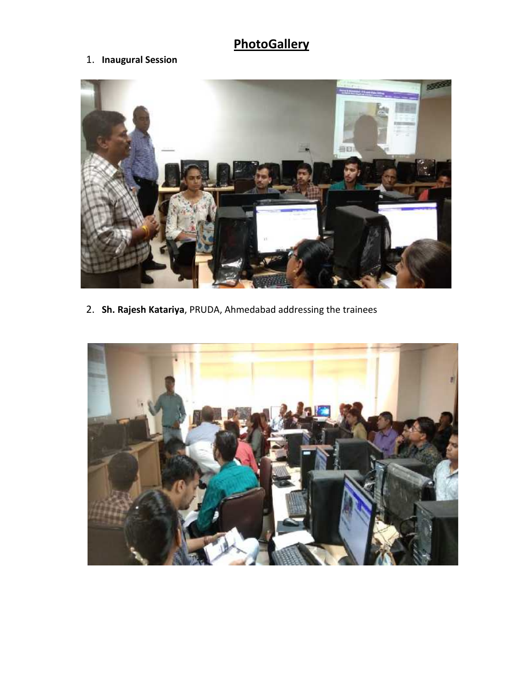# **PhotoGallery**

#### 1. **Inaugural Session**



2. **Sh. Rajesh Katariya**, PRUDA, Ahmedabad addressing the trainees

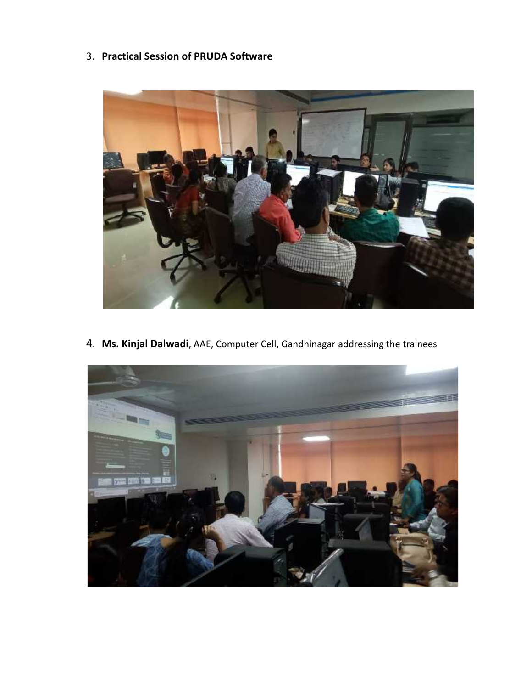3. **Practical Session of PRUDA Software**



4. **Ms. Kinjal Dalwadi**, AAE, Computer Cell, Gandhinagar addressing the trainees